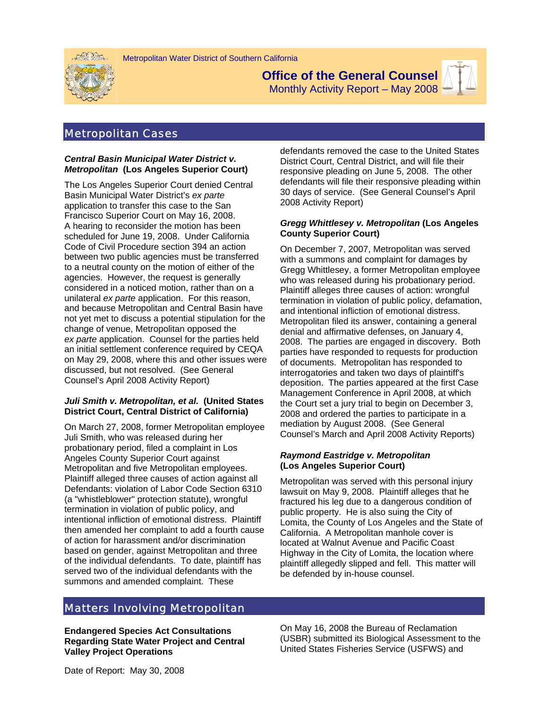



**Office of the General Counsel** 

Monthly Activity Report – May 2008

## Metropolitan Cases

#### *Central Basin Municipal Water District v. Metropolitan* **(Los Angeles Superior Court)**

The Los Angeles Superior Court denied Central Basin Municipal Water District's *ex parte* application to transfer this case to the San Francisco Superior Court on May 16, 2008. A hearing to reconsider the motion has been scheduled for June 19, 2008. Under California Code of Civil Procedure section 394 an action between two public agencies must be transferred to a neutral county on the motion of either of the agencies. However, the request is generally considered in a noticed motion, rather than on a unilateral *ex parte* application. For this reason, and because Metropolitan and Central Basin have not yet met to discuss a potential stipulation for the change of venue, Metropolitan opposed the *ex parte* application. Counsel for the parties held an initial settlement conference required by CEQA on May 29, 2008, where this and other issues were discussed, but not resolved. (See General Counsel's April 2008 Activity Report)

## *Juli Smith v. Metropolitan, et al.* **(United States District Court, Central District of California)**

On March 27, 2008, former Metropolitan employee Juli Smith, who was released during her probationary period, filed a complaint in Los Angeles County Superior Court against Metropolitan and five Metropolitan employees. Plaintiff alleged three causes of action against all Defendants: violation of Labor Code Section 6310 (a "whistleblower" protection statute), wrongful termination in violation of public policy, and intentional infliction of emotional distress. Plaintiff then amended her complaint to add a fourth cause of action for harassment and/or discrimination based on gender, against Metropolitan and three of the individual defendants. To date, plaintiff has served two of the individual defendants with the summons and amended complaint. These

defendants removed the case to the United States District Court, Central District, and will file their responsive pleading on June 5, 2008. The other defendants will file their responsive pleading within 30 days of service. (See General Counsel's April 2008 Activity Report)

## *Gregg Whittlesey v. Metropolitan* **(Los Angeles County Superior Court)**

On December 7, 2007, Metropolitan was served with a summons and complaint for damages by Gregg Whittlesey, a former Metropolitan employee who was released during his probationary period. Plaintiff alleges three causes of action: wrongful termination in violation of public policy, defamation, and intentional infliction of emotional distress. Metropolitan filed its answer, containing a general denial and affirmative defenses, on January 4, 2008. The parties are engaged in discovery. Both parties have responded to requests for production of documents. Metropolitan has responded to interrogatories and taken two days of plaintiff's deposition. The parties appeared at the first Case Management Conference in April 2008, at which the Court set a jury trial to begin on December 3, 2008 and ordered the parties to participate in a mediation by August 2008. (See General Counsel's March and April 2008 Activity Reports)

## *Raymond Eastridge v. Metropolitan* **(Los Angeles Superior Court)**

Metropolitan was served with this personal injury lawsuit on May 9, 2008. Plaintiff alleges that he fractured his leg due to a dangerous condition of public property. He is also suing the City of Lomita, the County of Los Angeles and the State of California. A Metropolitan manhole cover is located at Walnut Avenue and Pacific Coast Highway in the City of Lomita, the location where plaintiff allegedly slipped and fell. This matter will be defended by in-house counsel.

# Matters Involving Metropolitan

**Endangered Species Act Consultations Regarding State Water Project and Central Valley Project Operations** 

On May 16, 2008 the Bureau of Reclamation (USBR) submitted its Biological Assessment to the United States Fisheries Service (USFWS) and

Date of Report: May 30, 2008